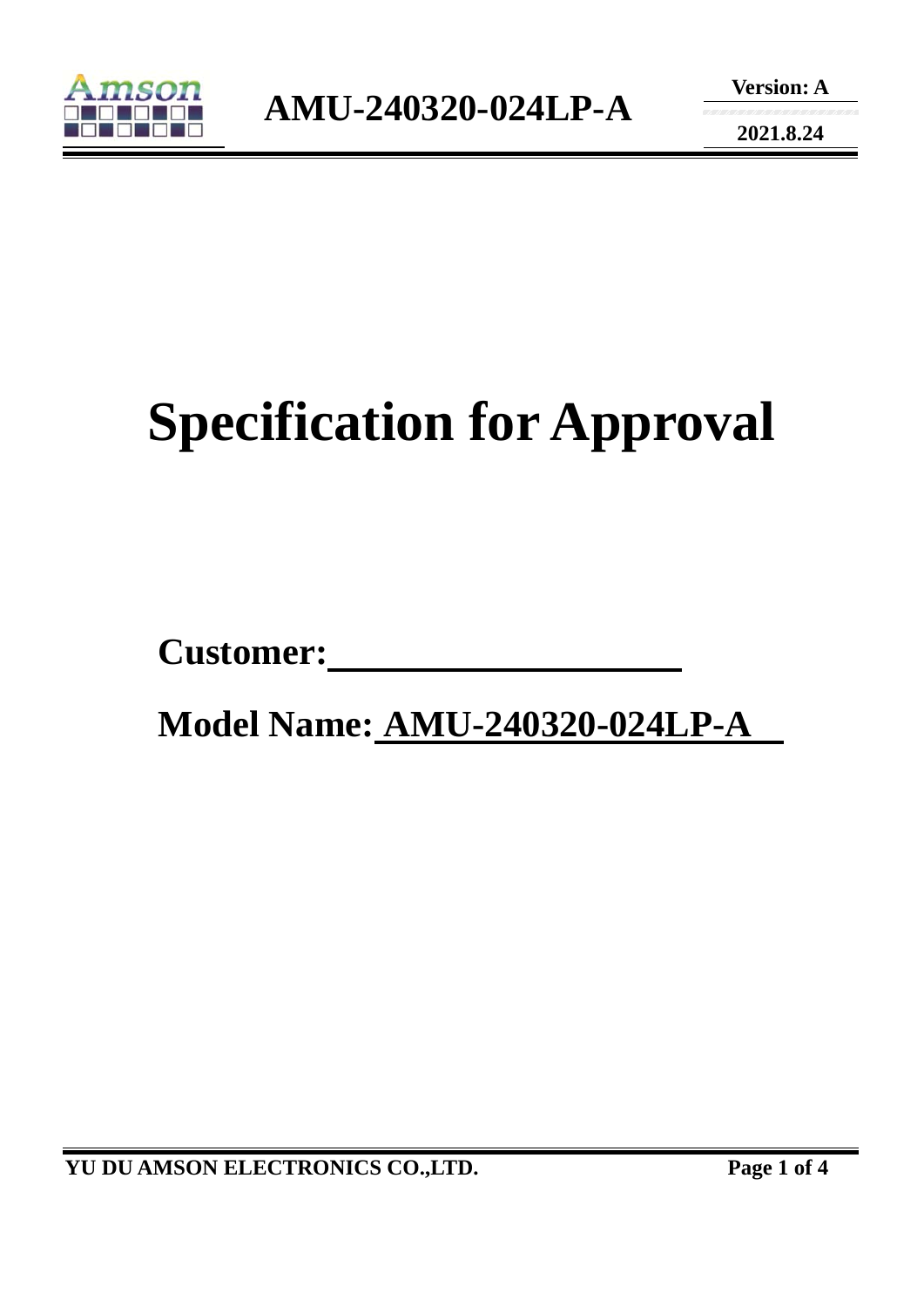

**2021.8.24** 

# **Specification for Approval**

**Customer:** 

 **Model Name: AMU-240320-024LP-A**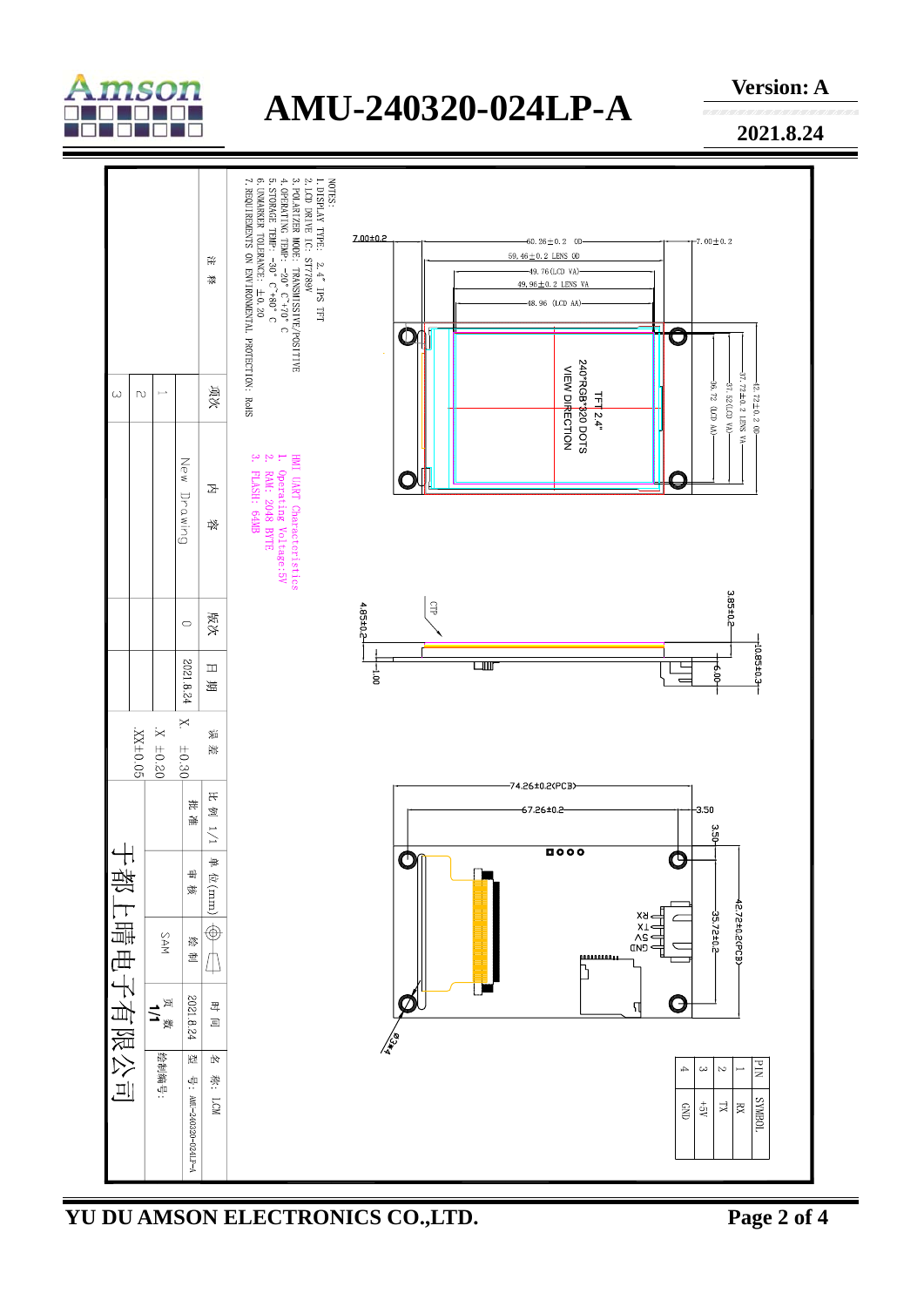

## **AMU-240320-024LP-A**

**Version: A** 

**2021.8.24** 



**YU DU AMSON ELECTRONICS CO.,LTD. Page 2 of 4**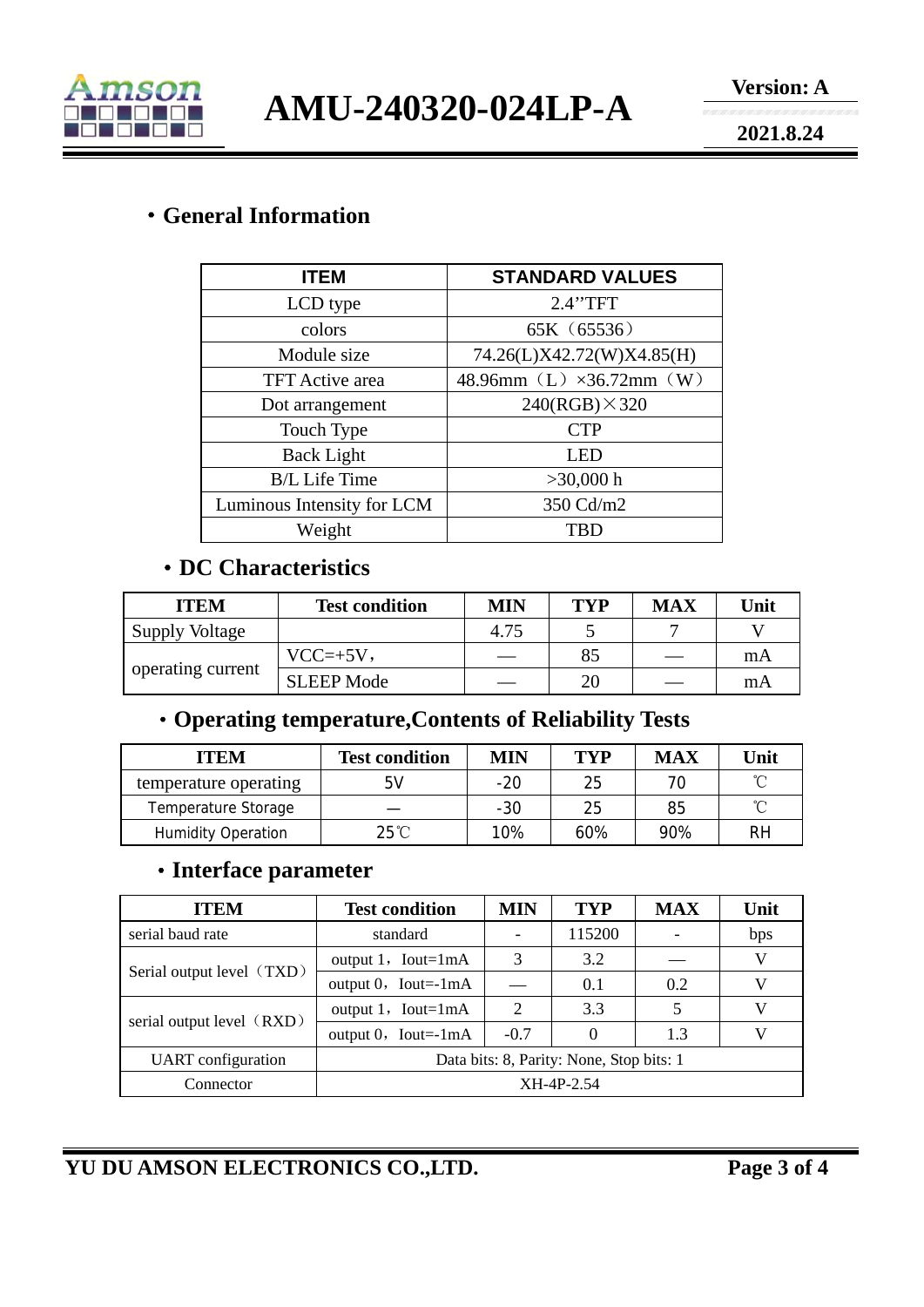

**AMU-240320-024LP-A** 

**2021.8.24** 

#### ·**General Information**

| <b>ITEM</b>                | <b>STANDARD VALUES</b>    |  |  |  |
|----------------------------|---------------------------|--|--|--|
| LCD type                   | 2.4"TFT                   |  |  |  |
| colors                     | 65K (65536)               |  |  |  |
| Module size                | 74.26(L)X42.72(W)X4.85(H) |  |  |  |
| <b>TFT</b> Active area     | 48.96mm (L) ×36.72mm (W)  |  |  |  |
| Dot arrangement            | $240(RGB) \times 320$     |  |  |  |
| Touch Type                 | <b>CTP</b>                |  |  |  |
| <b>Back Light</b>          | LED                       |  |  |  |
| <b>B/L</b> Life Time       | $>30,000$ h               |  |  |  |
| Luminous Intensity for LCM | 350 Cd/m2                 |  |  |  |
| Weight                     | <b>TBD</b>                |  |  |  |

#### ·**DC Characteristics**

| <b>ITEM</b>           | <b>Test condition</b> | MIN  | <b>TYP</b> | <b>MAX</b> | Unit |
|-----------------------|-----------------------|------|------------|------------|------|
| <b>Supply Voltage</b> |                       | 4.75 |            |            |      |
| operating current     | $VCC=+5V,$            |      | 85         |            | mA   |
|                       | <b>SLEEP Mode</b>     |      | 20         |            | mA   |

### ·**Operating temperature,Contents of Reliability Tests**

| <b>ITEM</b>               | <b>Test condition</b> | <b>MIN</b> | TYP | <b>MAX</b> | Unit |
|---------------------------|-----------------------|------------|-----|------------|------|
| temperature operating     | 5V                    | $-20$      | 25  |            | ∽    |
| Temperature Storage       |                       | $-30$      | 25  | 85         | ∽    |
| <b>Humidity Operation</b> | $25^{\circ}$ C        | 10%        | 60% | 90%        | RH   |

#### ·**Interface parameter**

| <b>ITEM</b>               | <b>Test condition</b>                    | MIN    | <b>TYP</b> | <b>MAX</b> | Unit |
|---------------------------|------------------------------------------|--------|------------|------------|------|
| serial baud rate          | standard                                 |        | 115200     |            | bps  |
| Serial output level (TXD) | output $1$ , Iout=1mA                    | 3      | 3.2        |            | V    |
|                           | output $0$ , Iout=-1mA                   |        | 0.1        | 0.2        |      |
| serial output level (RXD) | output $1$ , Iout=1mA                    | 2      | 3.3        |            | V    |
|                           | output $0$ , Iout=-1mA                   | $-0.7$ |            | 1.3        | V    |
| <b>UART</b> configuration | Data bits: 8, Parity: None, Stop bits: 1 |        |            |            |      |
| Connector                 | XH-4P-2.54                               |        |            |            |      |